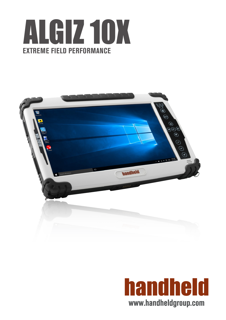